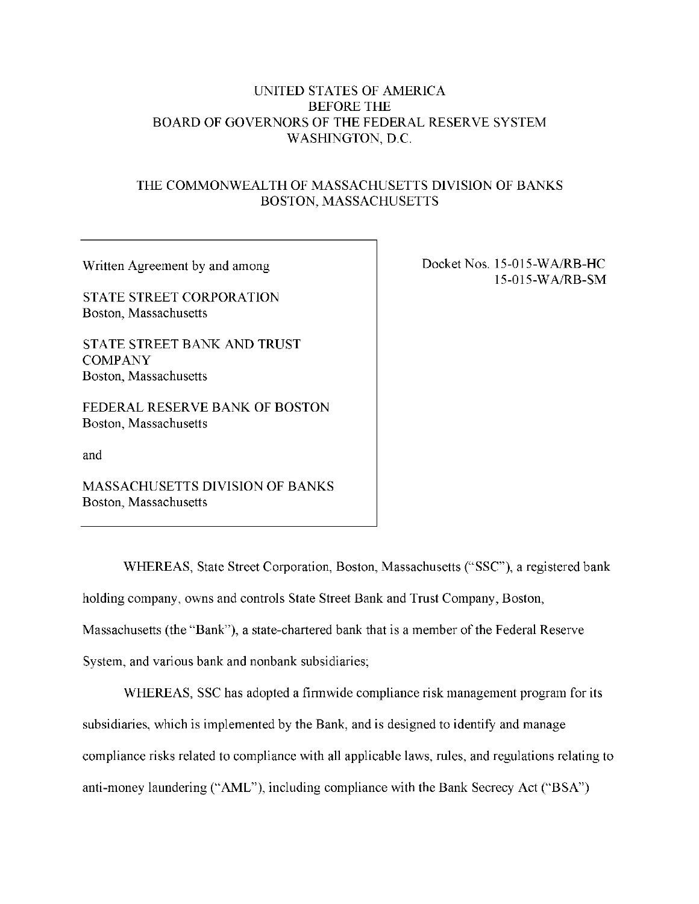# UNITED STATES OF AMERICA BEFORE THE BOARD OF GOVERNORS OF THE FEDERAL RESERVE SYSTEM WASHINGTON, D.C.

## THE COMMONWEALTH OF MASSACHUSETTS DIVISION OF BANKS BOSTON, MASSACHUSETTS

STATE STREET CORPORATION Boston, Massachusetts

STATE STREET BANK AND TRUST COMPANY Boston, Massachusetts

FEDERAL RESERVE BANK OF BOSTON Boston, Massachusetts

and

MASSACHUSETTS DIVISION OF BANKS Boston, Massachusetts

Written Agreement by and among Docket Nos. 15-015-WA/RB-HC 15-015-WA/RB-SM

WHEREAS, State Street Corporation, Boston, Massachusetts ("SSC"), a registered bank holding company, owns and controls State Street Bank and Trust Company, Boston, Massachusetts (the "Bank"), a state-chartered bank that is a member of the Federal Reserve System, and various bank and nonbank subsidiaries;

WHEREAS, SSC has adopted a firmwide compliance risk management program for its subsidiaries, which is implemented by the Bank, and is designed to identify and manage compliance risks related to compliance with all applicable laws, rules, and regulations relating to anti-money laundering ("AML"), including compliance with the Bank Secrecy Act ("BSA")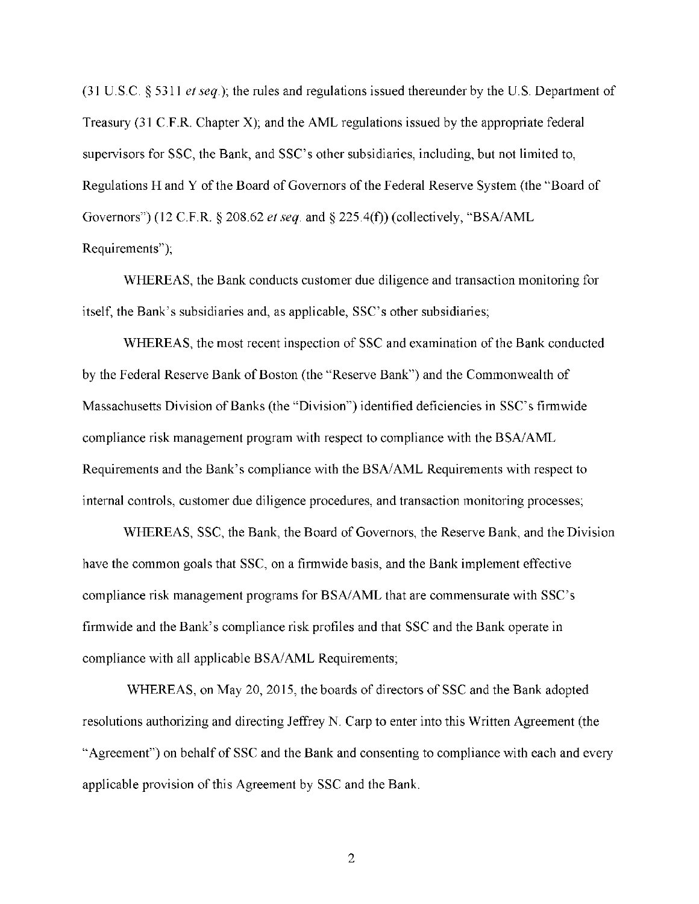(31 U.S.C. § 5311 *etseq*.); the rules and regulations issued thereunder by the U.S. Department of Treasury (31 C.F.R. Chapter X); and the AML regulations issued by the appropriate federal supervisors for SSC, the Bank, and SSC's other subsidiaries, including, but not limited to, Regulations H and Y of the Board of Governors of the Federal Reserve System (the "Board of Governors") (12 C.F.R. § 208.62 *et seq.* and § 225.4(f)) (collectively, "BSA/AML Requirements");

WHEREAS, the Bank conducts customer due diligence and transaction monitoring for itself, the Bank's subsidiaries and, as applicable, SSC's other subsidiaries;

WHEREAS, the most recent inspection of SSC and examination of the Bank conducted by the Federal Reserve Bank of Boston (the "Reserve Bank") and the Commonwealth of Massachusetts Division of Banks (the "Division") identified deficiencies in SSC's firmwide compliance risk management program with respect to compliance with the BSA/AML Requirements and the Bank's compliance with the BSA/AML Requirements with respect to internal controls, customer due diligence procedures, and transaction monitoring processes;

WHEREAS, SSC, the Bank, the Board of Governors, the Reserve Bank, and the Division have the common goals that SSC, on a firmwide basis, and the Bank implement effective compliance risk management programs for BSA/AML that are commensurate with SSC's firmwide and the Bank's compliance risk profiles and that SSC and the Bank operate in compliance with all applicable BSA/AML Requirements;

WHEREAS, on May 20, 2015, the boards of directors of SSC and the Bank adopted resolutions authorizing and directing Jeffrey N. Carp to enter into this Written Agreement (the "Agreement") on behalf of SSC and the Bank and consenting to compliance with each and every applicable provision of this Agreement by SSC and the Bank.

 $\overline{2}$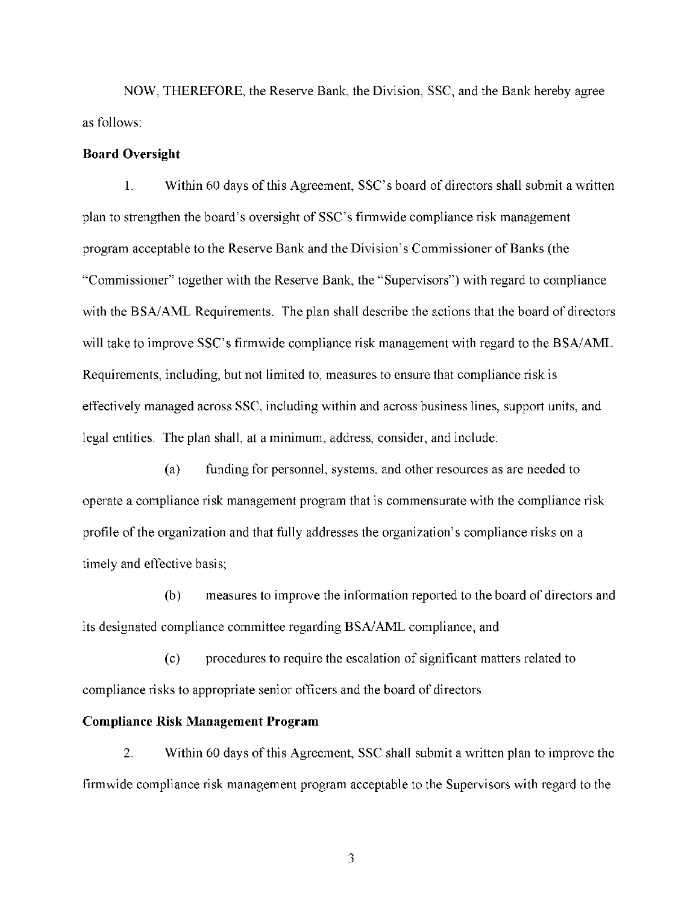NOW, THEREFORE, the Reserve Bank, the Division, SSC, and the Bank hereby agree as follows:

#### **Board Oversight**

1. Within 60 days of this Agreement, SSC's board of directors shall submit a written plan to strengthen the board's oversight of SSC's firmwide compliance risk management program acceptable to the Reserve Bank and the Division's Commissioner of Banks (the "Commissioner" together with the Reserve Bank, the "Supervisors") with regard to compliance with the BSA/AML Requirements. The plan shall describe the actions that the board of directors will take to improve SSC's firmwide compliance risk management with regard to the BSA/AML Requirements, including, but not limited to, measures to ensure that compliance risk is effectively managed across SSC, including within and across business lines, support units, and legal entities. The plan shall, at a minimum, address, consider, and include:

(a) funding for personnel, systems, and other resources as are needed to operate a compliance risk management program that is commensurate with the compliance risk profile of the organization and that fully addresses the organization's compliance risks on a timely and effective basis;

(b) measures to improve the information reported to the board of directors and its designated compliance committee regarding BSA/AML compliance; and

(c) procedures to require the escalation of significant matters related to compliance risks to appropriate senior officers and the board of directors.

#### **Compliance Risk Management Program**

2. Within 60 days of this Agreement, SSC shall submit a written plan to improve the firmwide compliance risk management program acceptable to the Supervisors with regard to the

 $\overline{3}$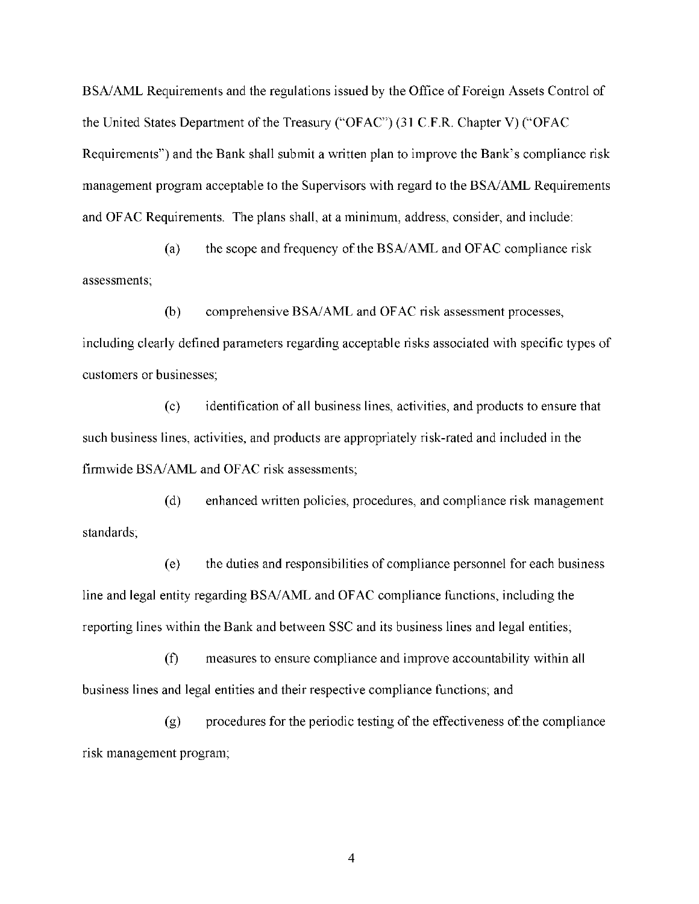BSA/AML Requirements and the regulations issued by the Office of Foreign Assets Control of the United States Department of the Treasury ("OFAC") (31 C.F.R. Chapter V) ("OFAC Requirements") and the Bank shall submit a written plan to improve the Bank's compliance risk management program acceptable to the Supervisors with regard to the BSA/AML Requirements and OFAC Requirements. The plans shall, at a minimum, address, consider, and include:

(a) the scope and frequency of the BSA/AML and OFAC compliance risk assessments;

(b) comprehensive BSA/AML and OFAC risk assessment processes, including clearly defined parameters regarding acceptable risks associated with specific types of customers or businesses;

(c) identification of all business lines, activities, and products to ensure that such business lines, activities, and products are appropriately risk-rated and included in the firmwide BSA/AML and OFAC risk assessments;

(d) enhanced written policies, procedures, and compliance risk management standards;

(e) the duties and responsibilities of compliance personnel for each business line and legal entity regarding BSA/AML and OFAC compliance functions, including the reporting lines within the Bank and between SSC and its business lines and legal entities;

(f) measures to ensure compliance and improve accountability within all business lines and legal entities and their respective compliance functions; and

(g) procedures for the periodic testing of the effectiveness of the compliance risk management program;

 $\overline{4}$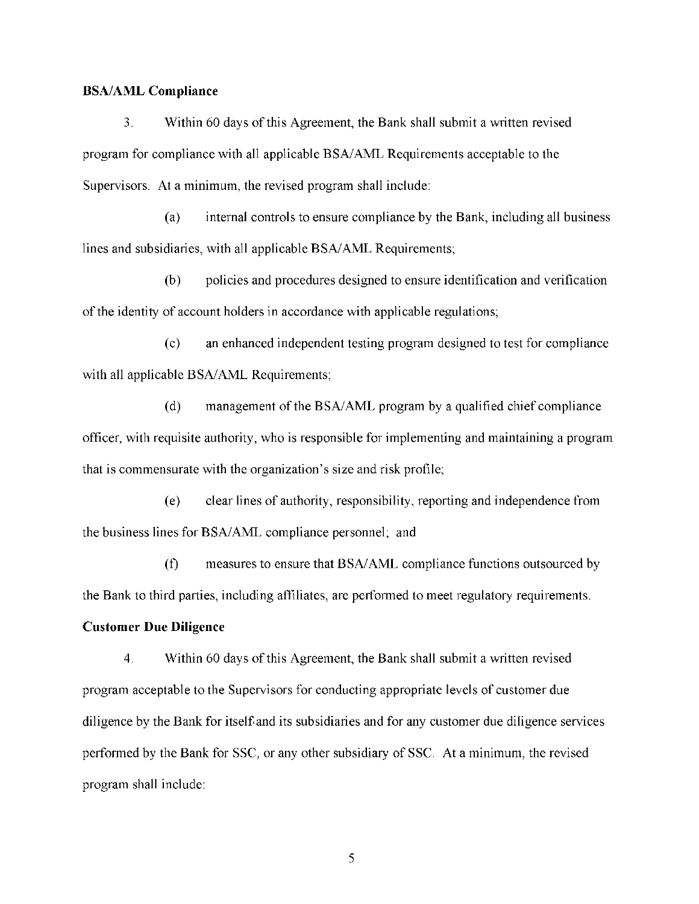#### **BSA/AML Compliance**

3. Within 60 days of this Agreement, the Bank shall submit a written revised program for compliance with all applicable BSA/AML Requirements acceptable to the Supervisors. At a minimum, the revised program shall include:

(a) internal controls to ensure compliance by the Bank, including all business lines and subsidiaries, with all applicable BSA/AML Requirements;

(b) policies and procedures designed to ensure identification and verification of the identity of account holders in accordance with applicable regulations;

(c) an enhanced independent testing program designed to test for compliance with all applicable BSA/AML Requirements;

(d) management of the BSA/AML program by a qualified chief compliance officer, with requisite authority, who is responsible for implementing and maintaining a program that is commensurate with the organization's size and risk profile;

(e) clear lines of authority, responsibility, reporting and independence from the business lines for BSA/AML compliance personnel; and

(f) measures to ensure that BSA/AML compliance functions outsourced by the Bank to third parties, including affiliates, are performed to meet regulatory requirements.

## **Customer Due Diligence**

4. Within 60 days of this Agreement, the Bank shall submit a written revised program acceptable to the Supervisors for conducting appropriate levels of customer due diligence by the Bank for itself and its subsidiaries and for any customer due diligence services performed by the Bank for SSC, or any other subsidiary of SSC. At a minimum, the revised program shall include:

 $\overline{5}$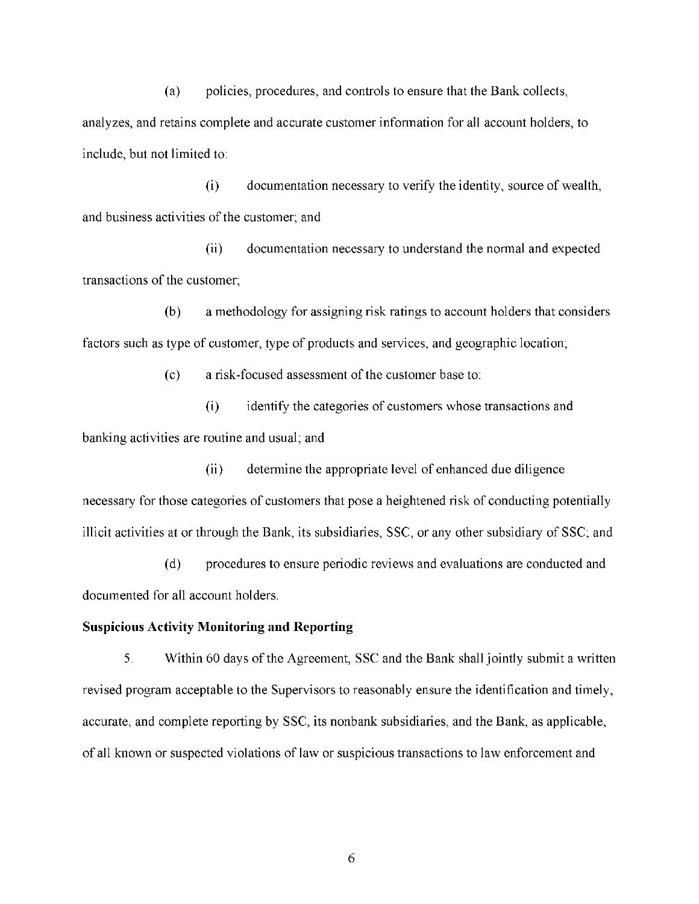(a) policies, procedures, and controls to ensure that the Bank collects, analyzes, and retains complete and accurate customer information for all account holders, to include, but not limited to:

(i) documentation necessary to verify the identity, source of wealth, and business activities of the customer; and

(ii) documentation necessary to understand the normal and expected transactions of the customer;

(b) a methodology for assigning risk ratings to account holders that considers factors such as type of customer, type of products and services, and geographic location;

(c) a risk-focused assessment of the customer base to:

(i) identify the categories of customers whose transactions and banking activities are routine and usual; and

(ii) determine the appropriate level of enhanced due diligence necessary for those categories of customers that pose a heightened risk of conducting potentially illicit activities at or through the Bank, its subsidiaries, SSC, or any other subsidiary of SSC; and

(d) procedures to ensure periodic reviews and evaluations are conducted and documented for all account holders.

#### **Suspicious Activity Monitoring and Reporting**

5. Within 60 days of the Agreement, SSC and the Bank shall jointly submit a written revised program acceptable to the Supervisors to reasonably ensure the identification and timely, accurate, and complete reporting by SSC, its nonbank subsidiaries, and the Bank, as applicable, of all known or suspected violations of law or suspicious transactions to law enforcement and

Page 6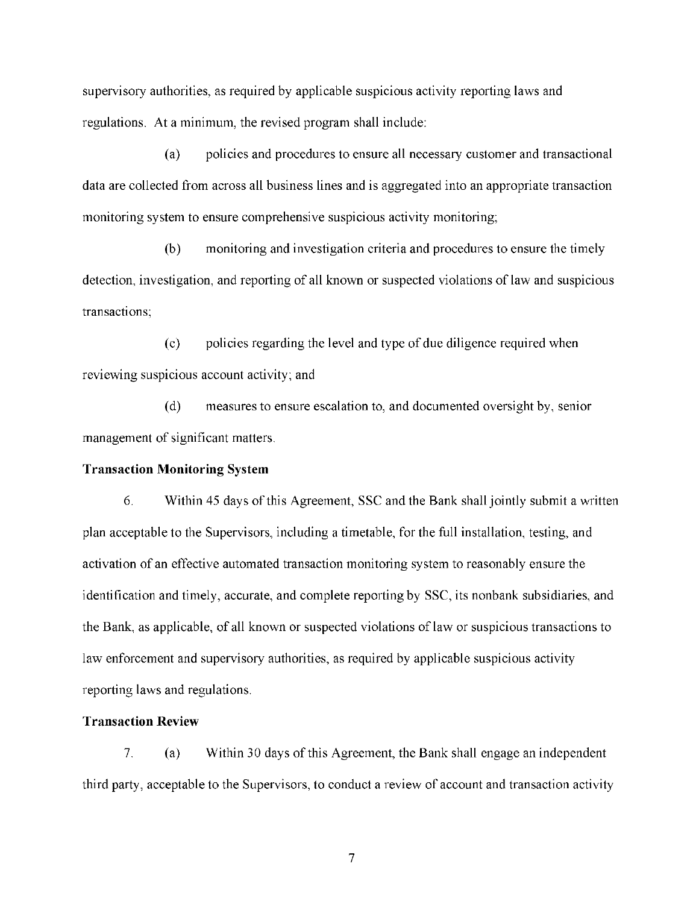supervisory authorities, as required by applicable suspicious activity reporting laws and regulations. At a minimum, the revised program shall include:

(a) policies and procedures to ensure all necessary customer and transactional data are collected from across all business lines and is aggregated into an appropriate transaction monitoring system to ensure comprehensive suspicious activity monitoring;

(b) monitoring and investigation criteria and procedures to ensure the timely detection, investigation, and reporting of all known or suspected violations of law and suspicious transactions;

(c) policies regarding the level and type of due diligence required when reviewing suspicious account activity; and

(d) measures to ensure escalation to, and documented oversight by, senior management of significant matters.

#### **Transaction Monitoring System**

6. Within 45 days of this Agreement, SSC and the Bank shall jointly submit a written plan acceptable to the Supervisors, including a timetable, for the full installation, testing, and activation of an effective automated transaction monitoring system to reasonably ensure the identification and timely, accurate, and complete reporting by SSC, its nonbank subsidiaries, and the Bank, as applicable, of all known or suspected violations of law or suspicious transactions to law enforcement and supervisory authorities, as required by applicable suspicious activity reporting laws and regulations.

#### **Transaction Review**

7. (a) Within 30 days of this Agreement, the Bank shall engage an independent third party, acceptable to the Supervisors, to conduct a review of account and transaction activity

 $7$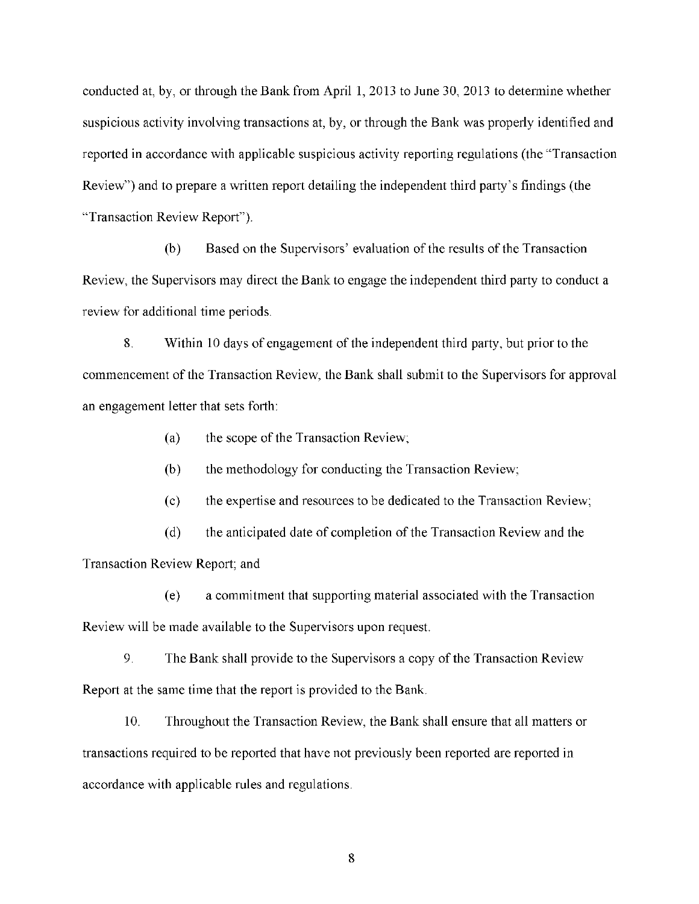conducted at, by, or through the Bank from April 1, 2013 to June 30, 2013 to determine whether suspicious activity involving transactions at, by, or through the Bank was properly identified and reported in accordance with applicable suspicious activity reporting regulations (the "Transaction Review") and to prepare a written report detailing the independent third party's findings (the "Transaction Review Report").

(b) Based on the Supervisors' evaluation of the results of the Transaction Review, the Supervisors may direct the Bank to engage the independent third party to conduct a review for additional time periods.

8. Within 10 days of engagement of the independent third party, but prior to the commencement of the Transaction Review, the Bank shall submit to the Supervisors for approval an engagement letter that sets forth:

- (a) the scope of the Transaction Review;
- (b) the methodology for conducting the Transaction Review;
- (c) the expertise and resources to be dedicated to the Transaction Review;
- (d) the anticipated date of completion of the Transaction Review and the

Transaction Review Report; and

(e) a commitment that supporting material associated with the Transaction Review will be made available to the Supervisors upon request.

9. The Bank shall provide to the Supervisors a copy of the Transaction Review Report at the same time that the report is provided to the Bank.

10. Throughout the Transaction Review, the Bank shall ensure that all matters or transactions required to be reported that have not previously been reported are reported in accordance with applicable rules and regulations.

Page 8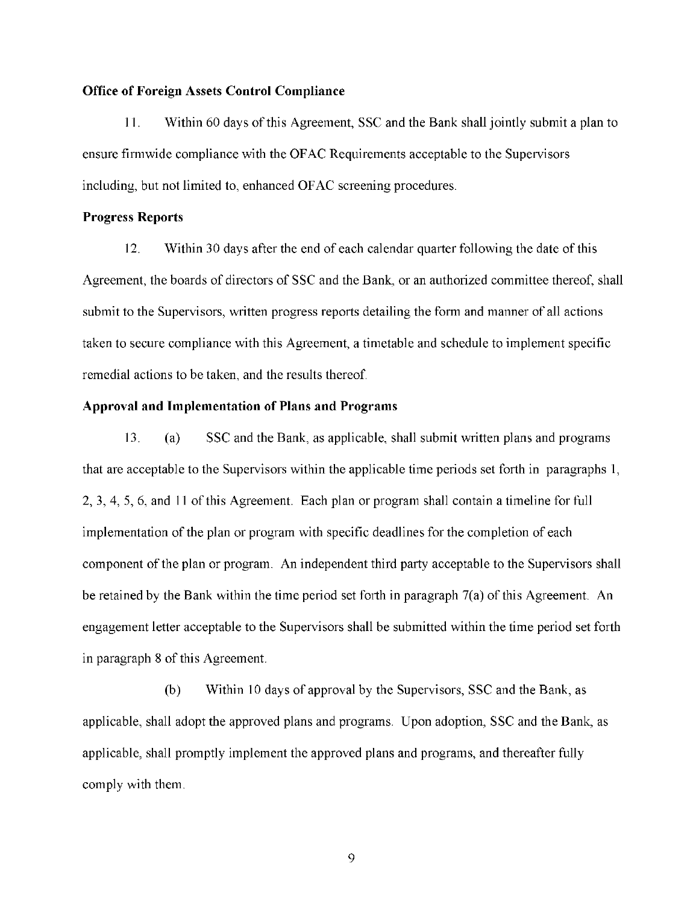#### **Office of Foreign Assets Control Compliance**

11. Within 60 days of this Agreement, SSC and the Bank shall jointly submit a plan to ensure firmwide compliance with the OFAC Requirements acceptable to the Supervisors including, but not limited to, enhanced OFAC screening procedures.

#### **Progress Reports**

12. Within 30 days after the end of each calendar quarter following the date of this Agreement, the boards of directors of SSC and the Bank, or an authorized committee thereof, shall submit to the Supervisors, written progress reports detailing the form and manner of all actions taken to secure compliance with this Agreement, a timetable and schedule to implement specific remedial actions to be taken, and the results thereof.

#### **Approval and Implementation of Plans and Programs**

13. (a) SSC and the Bank, as applicable, shall submit written plans and programs that are acceptable to the Supervisors within the applicable time periods set forth in paragraphs 1, 2, 3, 4, 5, 6, and 11 of this Agreement. Each plan or program shall contain a timeline for full implementation of the plan or program with specific deadlines for the completion of each component of the plan or program. An independent third party acceptable to the Supervisors shall be retained by the Bank within the time period set forth in paragraph 7(a) of this Agreement. An engagement letter acceptable to the Supervisors shall be submitted within the time period set forth in paragraph 8 of this Agreement.

(b) Within 10 days of approval by the Supervisors, SSC and the Bank, as applicable, shall adopt the approved plans and programs. Upon adoption, SSC and the Bank, as applicable, shall promptly implement the approved plans and programs, and thereafter fully comply with them.

 $\overline{9}$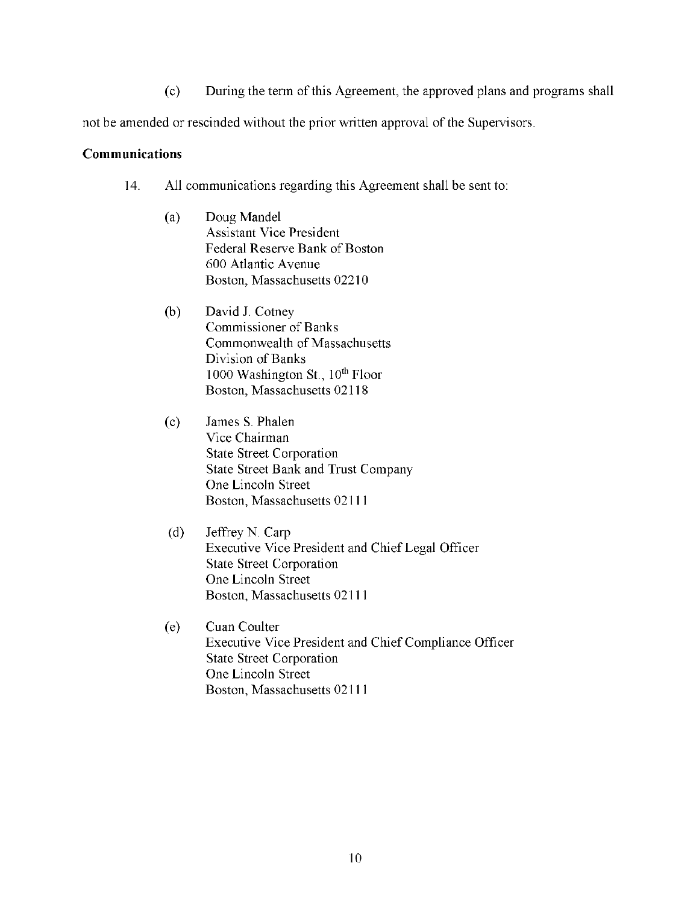(c) During the term of this Agreement, the approved plans and programs shall

not be amended or rescinded without the prior written approval of the Supervisors.

#### **Communications**

- 14. All communications regarding this Agreement shall be sent to:
	- (a) Doug Mandel Assistant Vice President Federal Reserve Bank of Boston 600 Atlantic Avenue Boston, Massachusetts 02210
	- (b) David J. Cotney Commissioner of Banks Commonwealth of Massachusetts Division of Banks 1000 Washington St., 10<sup>th</sup> Floor Boston, Massachusetts 02118
	- (c) James S. Phalen Vice Chairman State Street Corporation State Street Bank and Trust Company One Lincoln Street Boston, Massachusetts 02111
	- (d) Jeffrey N. Carp Executive Vice President and Chief Legal Officer State Street Corporation One Lincoln Street Boston, Massachusetts 02111
	- (e) Cuan Coulter Executive Vice President and Chief Compliance Officer State Street Corporation One Lincoln Street Boston, Massachusetts 02111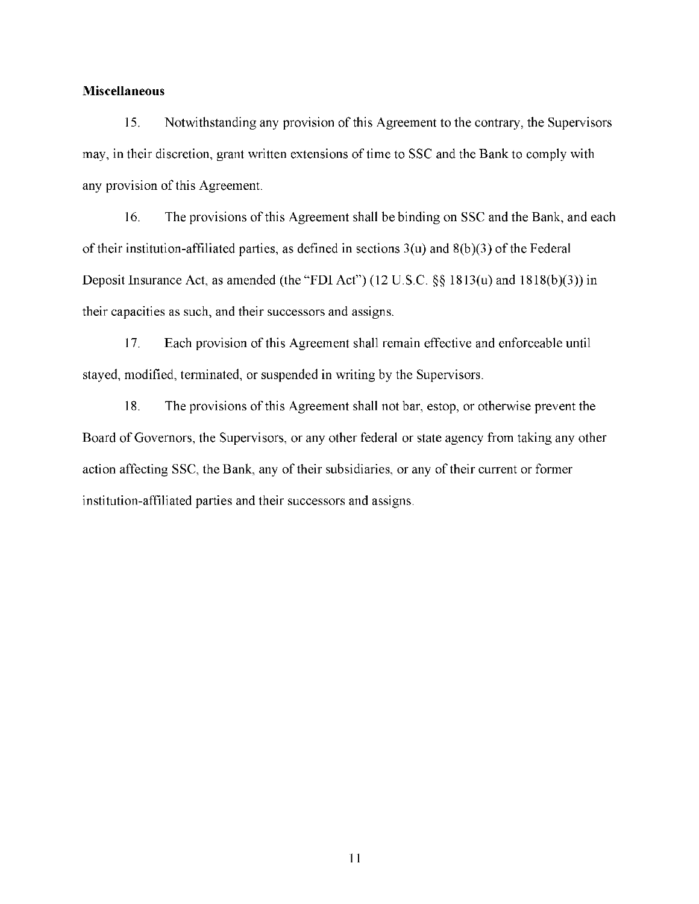#### **Miscellaneous**

15. Notwithstanding any provision of this Agreement to the contrary, the Supervisors may, in their discretion, grant written extensions of time to SSC and the Bank to comply with any provision of this Agreement.

16. The provisions of this Agreement shall be binding on SSC and the Bank, and each of their institution-affiliated parties, as defined in sections  $3(u)$  and  $8(b)(3)$  of the Federal Deposit Insurance Act, as amended (the "FDI Act") (12 U.S.C. §§ 1813(u) and 1818(b)(3)) in their capacities as such, and their successors and assigns.

17. Each provision of this Agreement shall remain effective and enforceable until stayed, modified, terminated, or suspended in writing by the Supervisors.

18. The provisions of this Agreement shall not bar, estop, or otherwise prevent the Board of Governors, the Supervisors, or any other federal or state agency from taking any other action affecting SSC, the Bank, any of their subsidiaries, or any of their current or former institution-affiliated parties and their successors and assigns.